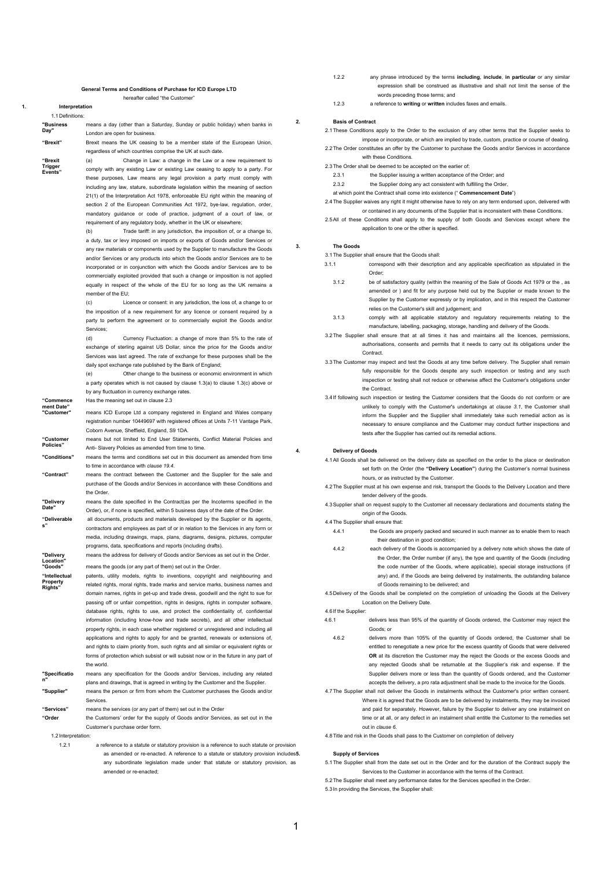#### **General Terms and Conditions of Purchase for ICD Europe LTD** hereafter called "the Customer"

**1. Interpretation** 1.1 Definitions:

**"Business Day"** means a day (other than a Saturday, Sunday or public holiday) when banks in London are open for business.

**"Brexit** 

**Trigger Events"**

**"Brexit"** Brexit means the UK ceasing to be a member state of the European Union, regardless of which countries comprise the UK at such date. (a) Change in Law: a change in the Law or a new requirement to

> comply with any existing Law or existing Law ceasing to apply to a party. For these purposes, Law means any legal provision a party must comply with including any law, stature, subordinate legislation within the meaning of section 21(1) of the Interpretation Act 1978, enforceable EU right within the meaning of section 2 of the European Communities Act 1972, bye-law, regulation, order, mandatory guidance or code of practice, judgment of a court of law, or requirement of any regulatory body, whether in the UK or elsewhere;

> Trade tariff: in any jurisdiction, the imposition of, or a change to, a duty, tax or levy imposed on imports or exports of Goods and/or Services or any raw materials or components used by the Supplier to manufacture the Goods and/or Services or any products into which the Goods and/or Services are to be incorporated or in conjunction with which the Goods and/or Services are to be commercially exploited provided that such a change or imposition is not applied equally in respect of the whole of the EU for so long as the UK remains a member of the EU;

> (c) Licence or consent: in any jurisdiction, the loss of, a change to or the imposition of a new requirement for any licence or consent required by a party to perform the agreement or to commercially exploit the Goods and/or Services;

> (d) Currency Fluctuation: a change of more than 5% to the rate of exchange of sterling against US Dollar, since the price for the Goods and/or Services was last agreed. The rate of exchange for these purposes shall be the daily spot exchange rate published by the Bank of England;

> (e) Other change to the business or economic environment in which a party operates which is not caused by clause 1.3(a) to clause 1.3(c) above or by any fluctuation in currency exchange rates.

**"Commence ment Date"**  Has the meaning set out in clause 2.3

means ICD Europe Ltd a company registered in England and Wales company registration number 10449697 with registered offices at Units 7-11 Vantage Park, Coborn Avenue, Sheffield, England, S9 1DA.

**"Customer Policies"** means but not limited to End User Statements, Conflict Material Policies and Anti- Slavery Policies as amended from time to time.

**"Conditions"** means the terms and conditions set out in this document as amended from time to time in accordance with *clause [19.4](#page-2-0)*.

**"Contract"** means the contract between the Customer and the Supplier for the sale and purchase of the Goods and/or Services in accordance with these Conditions and the Order.

**"Delivery Date"** means the date specified in the Contract(as per the Incoterms specified in the Order), or, if none is specified, within 5 business days of the date of the Order.

**"Deliverable s"** all documents, products and materials developed by the Supplier or its agents, contractors and employees as part of or in relation to the Services in any form or media, including drawings, maps, plans, diagrams, designs, pictures, computer programs, data, specifications and reports (including drafts).

means the address for delivery of Goods and/or Services as set out in the Order. **"Goods"** means the goods (or any part of them) set out in the Order.

**"Intellectual**  patents, utility models, rights to inventions, copyright and neighbouring and

> related rights, moral rights, trade marks and service marks, business names and domain names, rights in get-up and trade dress, goodwill and the right to sue for passing off or unfair competition, rights in designs, rights in computer software database rights, rights to use, and protect the confidentiality of, confidential information (including know-how and trade secrets), and all other intellectual property rights, in each case whether registered or unregistered and including all applications and rights to apply for and be granted, renewals or extensions of, and rights to claim priority from, such rights and all similar or equivalent rights or forms of protection which subsist or will subsist now or in the future in any part of the world.

- **"Specificatio n"** means any specification for the Goods and/or Services, including any related plans and drawings, that is agreed in writing by the Customer and the Supplier. **"Supplier"** means the person or firm from whom the Customer purchases the Goods and/or
- Services.
- **"Services"** means the services (or any part of them) set out in the Order

**"Order** the Customers' order for the supply of Goods and/or Services, as set out in the Customer's purchase order form.

1.2 Interpretation:

**"Delivery Location"**

**Property Rights"**

1.2.1 a reference to a statute or statutory provision is a reference to such statute or provision as amended or re-enacted. A reference to a statute or statutory provision includes5. any subordinate legislation made under that statute or statutory provision, as amended or re-enacted;

- 1.2.2 any phrase introduced by the terms **including**, **include**, **in particular** or any similar expression shall be construed as illustrative and shall not limit the sense of the words preceding those terms; and
- 1.2.3 a reference to **writing** or **written** includes faxes and emails.

## **2. Basis of Contract**

2.1 These Conditions apply to the Order to the exclusion of any other terms that the Supplier seeks to impose or incorporate, or which are implied by trade, custom, practice or course of dealing. 2.2 The Order constitutes an offer by the Customer to purchase the Goods and/or Services in accordance

with these Conditions. 2.3 The Order shall be deemed to be accepted on the earlier of:

- 2.3.1 the Supplier issuing a written acceptance of the Order: and
- 2.3.2 the Supplier doing any act consistent with fulfilling the Order
- at which point the Contract shall come into existence (" **Commencement Date**")
- <span id="page-0-1"></span>2.4 The Supplier waives any right it might otherwise have to rely on any term endorsed upon, delivered with or contained in any documents of the Supplier that is inconsistent with these Conditions.
- 2.5 All of these Conditions shall apply to the supply of both Goods and Services except where the application to one or the other is specified.

## **3. The Goods**

<span id="page-0-0"></span>3.1 The Supplier shall ensure that the Goods shall:

- 3.1.1 correspond with their description and any applicable specification as stipulated in the Order;
	- 3.1.2 be of satisfactory quality (within the meaning of the Sale of Goods Act 1979 or the , as amended or ) and fit for any purpose held out by the Supplier or made known to the Supplier by the Customer expressly or by implication, and in this respect the Customer relies on the Customer's skill and judgement; and
	- 3.1.3 comply with all applicable statutory and regulatory requirements relating to the manufacture, labelling, packaging, storage, handling and delivery of the Goods.
- 3.2 The Supplier shall ensure that at all times it has and maintains all the licences, permissions, authorisations, consents and permits that it needs to carry out its obligations under the Contract.
- 3.3 The Customer may inspect and test the Goods at any time before delivery. The Supplier shall remain fully responsible for the Goods despite any such inspection or testing and any such inspection or testing shall not reduce or otherwise affect the Customer's obligations under the Contract.
- 3.4 If following such inspection or testing the Customer considers that the Goods do not conform or are unlikely to comply with the Customer's undertakings at *clause [3.1](#page-0-0)*, the Customer shall inform the Supplier and the Supplier shall immediately take such remedial action as is necessary to ensure compliance and the Customer may conduct further inspections and tests after the Supplier has carried out its remedial actions.

#### **4. Delivery of Goods**

4.1 All Goods shall be delivered on the delivery date as specified on the order to the place or destination set forth on the Order (the **"Delivery Location"**) during the Customer's normal business hours, or as instructed by the Customer.

- 4.2 The Supplier must at his own expense and risk, transport the Goods to the Delivery Location and there tender delivery of the goods.
- 4.3 Supplier shall on request supply to the Customer all necessary declarations and documents stating the origin of the Goods.

# 4.4 The Supplier shall ensure that:

- 4.4.1 the Goods are properly packed and secured in such manner as to enable them to reach their destination in good condition;
- 4.4.2 each delivery of the Goods is accompanied by a delivery note which shows the date of the Order, the Order number (if any), the type and quantity of the Goods (including the code number of the Goods, where applicable), special storage instructions (if any) and, if the Goods are being delivered by instalments, the outstanding balance of Goods remaining to be delivered; and

4.5 Delivery of the Goods shall be completed on the completion of unloading the Goods at the Delivery Location on the Delivery Date.

4.6 If the Supplier:

- 4.6.1 delivers less than 95% of the quantity of Goods ordered, the Customer may reject the Goods; or
	- 4.6.2 delivers more than 105% of the quantity of Goods ordered, the Customer shall be entitled to renegotiate a new price for the excess quantity of Goods that were delivered **OR** at its discretion the Customer may the reject the Goods or the excess Goods and any rejected Goods shall be returnable at the Supplier's risk and expense. If the Supplier delivers more or less than the quantity of Goods ordered, and the Customer accepts the delivery, a pro rata adjustment shall be made to the invoice for the Goods.
- 4.7 The Supplier shall not deliver the Goods in instalments without the Customer's prior written consent. Where it is agreed that the Goods are to be delivered by instalments, they may be invoiced and paid for separately. However, failure by the Supplier to deliver any one instalment on time or at all, or any defect in an instalment shall entitle the Customer to the remedies set out in *clause 6*.
- 4.8 Title and risk in the Goods shall pass to the Customer on completion of delivery

# **5. Supply of Services**

5.1 The Supplier shall from the date set out in the Order and for the duration of the Contract supply the Services to the Customer in accordance with the terms of the Contract.

5.2 The Supplier shall meet any performance dates for the Services specified in the Order.

5.3 In providing the Services, the Supplier shall: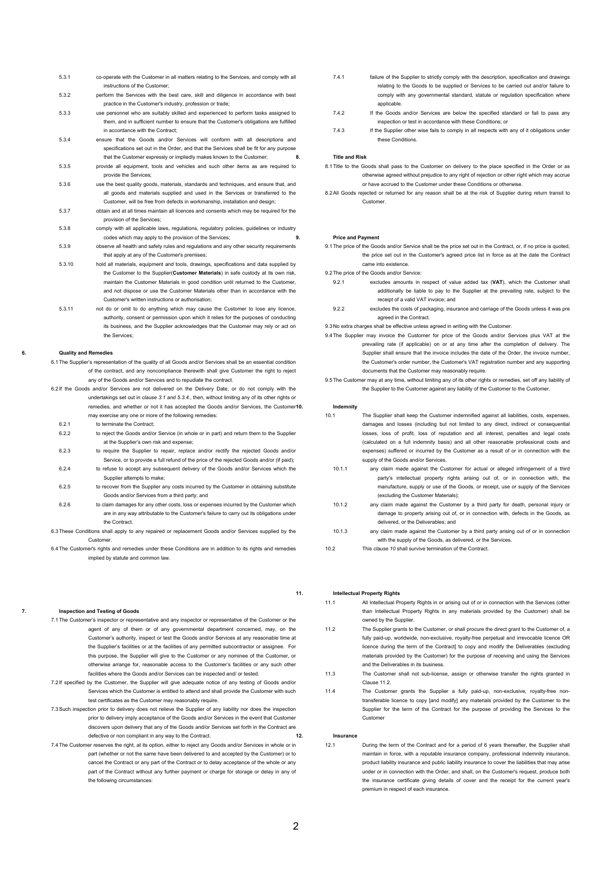- 5.3.1 co-operate with the Customer in all matters relating to the Services, and comply with all instructions of the Customer;
- 5.3.2 perform the Services with the best care, skill and diligence in accordance with best practice in the Customer's industry, profession or trade;
- 5.3.3 use personnel who are suitably skilled and experienced to perform tasks assigned to them, and in sufficient number to ensure that the Customer's obligations are fulfilled in accordance with the Contract;
- 5.3.4 ensure that the Goods and/or Services will conform with all descriptions and specifications set out in the Order, and that the Services shall be fit for any purpose that the Customer expressly or impliedly makes known to the Customer;
- 5.3.5 provide all equipment, tools and vehicles and such other items as are required to provide the Services;
- 5.3.6 use the best quality goods, materials, standards and techniques, and ensure that, and all goods and materials supplied and used in the Services or transferred to the Customer, will be free from defects in workmanship, installation and design;
- 5.3.7 obtain and at all times maintain all licences and consents which may be required for the provision of the Services;
- 5.3.8 comply with all applicable laws, regulations, regulatory policies, guidelines or industry codes which may apply to the provision of the Services;
- 5.3.9 observe all health and safety rules and regulations and any other security requirements that apply at any of the Customer's premises;
- 5.3.10 hold all materials, equipment and tools, drawings, specifications and data supplied by the Customer to the Supplier(**Customer Materials**) in safe custody at its own risk, maintain the Customer Materials in good condition until returned to the Customer, and not dispose or use the Customer Materials other than in accordance with the Customer's written instructions or authorisation;
- 5.3.11 not do or omit to do anything which may cause the Customer to lose any licence, authority, consent or permission upon which it relies for the purposes of conducting its business, and the Supplier acknowledges that the Customer may rely or act on the Services;

## **6. Quality and Remedies**

- 6.1 The Supplier's representation of the quality of all Goods and/or Services shall be an essential condition of the contract, and any noncompliance therewith shall give Customer the right to reject any of the Goods and/or Services and to repudiate the contract.
- 6.2 If the Goods and/or Services are not delivered on the Delivery Date, or do not comply with the undertakings set out in *clause [3.1](#page-0-0) and 5.3.4.*, then, without limiting any of its other rights or remedies, and whether or not it has accepted the Goods and/or Services, the Customer10. may exercise any one or more of the following remedies:
	- 6.2.1 to terminate the Contract;
- 6.2.2 to reject the Goods and/or Service (in whole or in part) and return them to the Supplier at the Supplier's own risk and expense;
- 6.2.3 to require the Supplier to repair, replace and/or rectify the rejected Goods and/or Service, or to provide a full refund of the price of the rejected Goods and/or (if paid);
- 6.2.4 to refuse to accept any subsequent delivery of the Goods and/or Services which the Supplier attempts to make;
- 6.2.5 to recover from the Supplier any costs incurred by the Customer in obtaining substitute Goods and/or Services from a third party; and
- 6.2.6 to claim damages for any other costs, loss or expenses incurred by the Customer which are in any way attributable to the Customer's failure to carry out its obligations under the Contract.

6.3 These Conditions shall apply to any repaired or replacement Goods and/or Services supplied by the Customer.

6.4 The Customer's rights and remedies under these Conditions are in addition to its rights and remedies implied by statute and common law.

## **7. Inspection and Testing of Goods**

- 7.1 The Customer's inspector or representative and any inspector or representative of the Customer or the agent of any of them or of any governmental department concerned, may, on the Customer's authority, inspect or test the Goods and/or Services at any reasonable time at the Supplier's facilities or at the facilities of any permitted subcontractor or assignee. For this purpose, the Supplier will give to the Customer or any nominee of the Customer, or otherwise arrange for, reasonable access to the Customer's facilities or any such other facilities where the Goods and/or Services can be inspected and/ or tested.
- 7.2 If specified by the Customer, the Supplier will give adequate notice of any testing of Goods and/or Services which the Customer is entitled to attend and shall provide the Customer with such test certificates as the Customer may reasonably require.
- 7.3 Such inspection prior to delivery does not relieve the Supplier of any liability nor does the inspection prior to delivery imply acceptance of the Goods and/or Services in the event that Customer discovers upon delivery that any of the Goods and/or Services set forth in the Contract are defective or non compliant in any way to the Contract.
- 7.4 The Customer reserves the right, at its option, either to reject any Goods and/or Services in whole or in part (whether or not the same have been delivered to and accepted by the Customer) or to cancel the Contract or any part of the Contract or to delay acceptance of the whole or any part of the Contract without any further payment or charge for storage or delay in any of the following circumstances:
- 7.4.1 failure of the Supplier to strictly comply with the description, specification and drawings relating to the Goods to be supplied or Services to be carried out and/or failure to comply with any governmental standard, statute or regulation specification where applicable.
- 7.4.2 If the Goods and/or Services are below the specified standard or fail to pass any inspection or test in accordance with these Conditions; or
- 7.4.3 If the Supplier other wise fails to comply in all respects with any of it obligations under these Conditions.

#### **8. Title and Risk**

- 8.1 Title to the Goods shall pass to the Customer on delivery to the place specified in the Order or as otherwise agreed without prejudice to any right of rejection or other right which may accrue or have accrued to the Customer under these Conditions or otherwise.
- 8.2 All Goods rejected or returned for any reason shall be at the risk of Supplier during return transit to Customer.

#### **9. Price and Payment**

9.1 The price of the Goods and/or Service shall be the price set out in the Contract, or, if no price is quoted, the price set out in the Customer's agreed price list in force as at the date the Contract came into existence.

9.2 The price of the Goods and/or Service:

- 9.2.1 excludes amounts in respect of value added tax (**VAT**), which the Customer shall additionally be liable to pay to the Supplier at the prevailing rate, subject to the receipt of a valid VAT invoice; and
- 9.2.2 excludes the costs of packaging, insurance and carriage of the Goods unless it was pre agreed in the Contract.

9.3 No extra charges shall be effective unless agreed in writing with the Customer.

- 9.4 The Supplier may invoice the Customer for price of the Goods and/or Services plus VAT at the prevailing rate (if applicable) on or at any time after the completion of delivery. The Supplier shall ensure that the invoice includes the date of the Order, the invoice number, the Customer's order number, the Customer's VAT registration number and any supporting documents that the Customer may reasonably require.
- 9.5 The Customer may at any time, without limiting any of its other rights or remedies, set off any liability of the Supplier to the Customer against any liability of the Customer to the Customer.

#### **10. Indemnity**

- <span id="page-1-0"></span>10.1 The Supplier shall keep the Customer indemnified against all liabilities, costs, expenses, damages and losses (including but not limited to any direct, indirect or consequential losses, loss of profit, loss of reputation and all interest, penalties and legal costs (calculated on a full indemnity basis) and all other reasonable professional costs and expenses) suffered or incurred by the Customer as a result of or in connection with the supply of the Goods and/or Services
- 10.1.1 any claim made against the Customer for actual or alleged infringement of a third party's intellectual property rights arising out of, or in connection with, the manufacture, supply or use of the Goods, or receipt, use or supply of the Services (excluding the Customer Materials);
- 10.1.2 any claim made against the Customer by a third party for death, personal injury or damage to property arising out of, or in connection with, defects in the Goods, as delivered, or the Deliverables; and
- 10.1.3 any claim made against the Customer by a third party arising out of or in connection with the supply of the Goods, as delivered, or the Services.
- 10.2 This *clause [10](#page-1-0)* shall survive termination of the Contract.

# **11. Intellectual Property Rights**

- 11.1 All Intellectual Property Rights in or arising out of or in connection with the Services (other than Intellectual Property Rights in any materials provided by the Customer) shall be owned by the Supplier. 11.2 The Supplier grants to the Customer, or shall procure the direct grant to the Customer of, a
- fully paid-up, worldwide, non-exclusive, royalty-free perpetual and irrevocable licence OR licence during the term of the Contractl to copy and modify the Deliverables (excluding materials provided by the Customer) for the purpose of receiving and using the Services and the Deliverables in its business.
- 11.3 The Customer shall not sub-license, assign or otherwise transfer the rights granted in Clause 11.2.
- 11.4 The Customer grants the Supplier a fully paid-up, non-exclusive, royalty-free nontransferable licence to copy [and modify] any materials provided by the Customer to the Supplier for the term of the Contract for the purpose of providing the Services to the Customer

## **12. Insurance**

12.1 During the term of the Contract and for a period of 6 years thereafter, the Supplier shall maintain in force, with a reputable insurance company, professional indemnity insurance, product liability insurance and public liability insurance to cover the liabilities that may arise under or in connection with the Order, and shall, on the Customer's request, produce both the insurance certificate giving details of cover and the receipt for the current year's premium in respect of each insurance.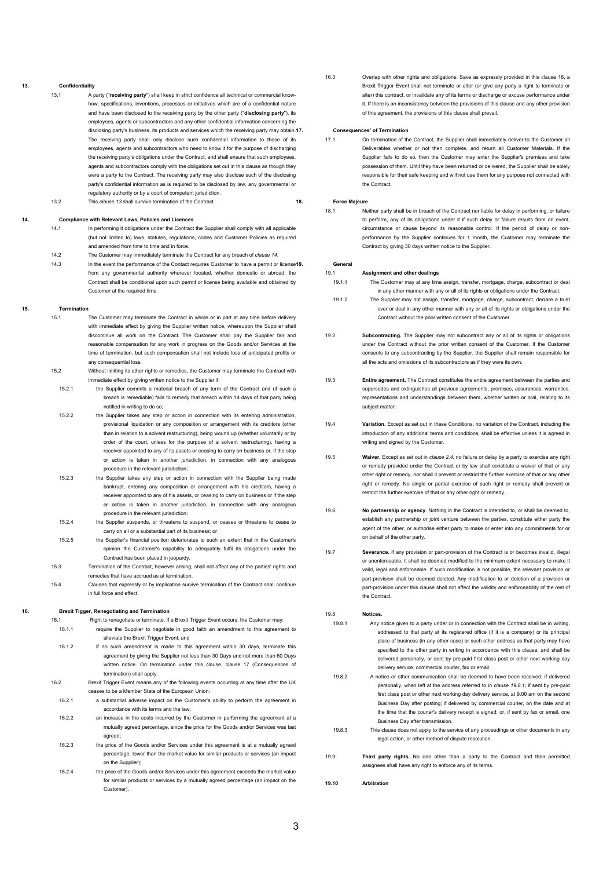### <span id="page-2-1"></span>**13. Confidentiality**

- 13.1 A party ("**receiving party**") shall keep in strict confidence all technical or commercial knowhow, specifications, inventions, processes or initiatives which are of a confidential nature and have been disclosed to the receiving party by the other party ("**disclosing party**"), its employees, agents or subcontractors and any other confidential information concerning the disclosing party's business, its products and services which the receiving party may obtain.17. The receiving party shall only disclose such confidential information to those of its employees, agents and subcontractors who need to know it for the purpose of discharging the receiving party's obligations under the Contract, and shall ensure that such employees, agents and subcontractors comply with the obligations set out in this clause as though they were a party to the Contract. The receiving party may also disclose such of the disclosing party's confidential information as is required to be disclosed by law, any governmental or regulatory authority or by a court of competent jurisdiction.
- 13.2 This *clause [13](#page-2-1)* shall survive termination of the Contract.

# <span id="page-2-2"></span>**14. Compliance with Relevant Laws, Policies and Licences**

- 14.1 In performing it obligations under the Contract the Supplier shall comply with all applicable (but not limited to) laws, statutes, regulations, codes and Customer Policies as required and amended from time to time and in force.
- 14.2 The Customer may immediately terminate the Contract for any breach of *clause [14](#page-2-2)*.
- 14.3 In the event the performance of the Contact requires Customer to have a permit or license<sup>19</sup>. from any governmental authority wherever located, whether domestic or abroad, the Contract shall be conditional upon such permit or license being available and obtained by Customer at the required time.

#### **15. Termination**

- 15.1 The Customer may terminate the Contract in whole or in part at any time before delivery with immediate effect by giving the Supplier written notice, whereupon the Supplier shall discontinue all work on the Contract. The Customer shall pay the Supplier fair and reasonable compensation for any work in progress on the Goods and/or Services at the time of termination, but such compensation shall not include loss of anticipated profits or any consequential loss.
- 15.2 Without limiting its other rights or remedies, the Customer may terminate the Contract with immediate effect by giving written notice to the Supplier if:
	- 15.2.1 the Supplier commits a material breach of any term of the Contract and (if such a breach is remediable) fails to remedy that breach within 14 days of that party being notified in writing to do so;
	- 15.2.2 the Supplier takes any step or action in connection with its entering administration, provisional liquidation or any composition or arrangement with its creditors (other than in relation to a solvent restructuring), being wound up (whether voluntarily or by order of the court, unless for the purpose of a solvent restructuring), having a receiver appointed to any of its assets or ceasing to carry on business or, if the step or action is taken in another jurisdiction, in connection with any analogous procedure in the relevant jurisdiction;
	- 15.2.3 the Supplier takes any step or action in connection with the Supplier being made bankrupt, entering any composition or arrangement with his creditors, having a receiver appointed to any of his assets, or ceasing to carry on business or if the step or action is taken in another jurisdiction, in connection with any analogous procedure in the relevant jurisdiction;
- 15.2.4 the Supplier suspends, or threatens to suspend, or ceases or threatens to cease to carry on all or a substantial part of its business; or
- 15.2.5 the Supplier's financial position deteriorates to such an extent that in the Customer's opinion the Customer's capability to adequately fulfil its obligations under the Contract has been placed in jeopardy.
- 15.3 Termination of the Contract, however arising, shall not affect any of the parties' rights and remedies that have accrued as at termination.
- 15.4 Clauses that expressly or by implication survive termination of the Contract shall continue in full force and effect.

#### **16. Brexit Tigger, Renegotiating and Termination**

- 16.1 Right to renegotiate or terminate. If a Brexit Trigger Event occurs, the Customer may: 16.1.1 require the Supplier to negotiate in good faith an amendment to this agreement to alleviate the Brexit Trigger Event; and
- 16.1.2 if no such amendment is made to this agreement within 30 days, terminate this agreement by giving the Supplier not less than 30 Days and not more than 60 Days written notice. On termination under this clause, clause, 17 (Consequences of termination) shall apply.
- 16.2 Brexit Trigger Event means any of the following events occurring at any time after the UK ceases to be a Member State of the European Union:
- 16.2.1 a substantial adverse impact on the Customer's ability to perform the agreement in accordance with its terms and the law;
- 16.2.2 an increase in the costs incurred by the Customer in performing the agreement at a mutually agreed percentage, since the price for the Goods and/or Services was last agreed;
- 16.2.3 the price of the Goods and/or Services under this agreement is at a mutually agreed percentage, lower than the market value for similar products or services (an impact on the Supplier);
- 16.2.4 the price of the Goods and/or Services under this agreement exceeds the market value for similar products or services by a mutually agreed percentage (an impact on the Customer).

16.3 Overlap with other rights and obligations. Save as expressly provided in this clause 16, a Brexit Trigger Event shall not terminate or alter (or give any party a right to terminate or alter) this contract, or invalidate any of its terms or discharge or excuse performance under it. If there is an inconsistency between the provisions of this clause and any other provision of this agreement, the provisions of this clause shall prevail.

## **17. Consequences' of Termination**

17.1 On termination of the Contract, the Supplier shall immediately deliver to the Customer all Deliverables whether or not then complete, and return all Customer Materials. If the Supplier fails to do so, then the Customer may enter the Supplier's premises and take possession of them. Until they have been returned or delivered, the Supplier shall be solely responsible for their safe keeping and will not use them for any purpose not connected with the Contract.

#### **18. Force Majeure**

18.1 Neither party shall be in breach of the Contract nor liable for delay in performing, or failure to perform, any of its obligations under it if such delay or failure results from an event, circumstance or cause beyond its reasonable control. If the period of delay or nonperformance by the Supplier continues for 1 month, the Customer may terminate the Contract by giving 30 days written notice to the Supplier.

# **19. General**

# 19.1 **Assignment and other dealings**

- 19.1.1 The Customer may at any time assign, transfer, mortgage, charge, subcontract or deal in any other manner with any or all of its rights or obligations under the Contract.
- 
- 19.1.2 The Supplier may not assign, transfer, mortgage, charge, subcontract, declare a trust over or deal in any other manner with any or all of its rights or obligations under the
- Contract without the prior written consent of the Customer. 19.2 **Subcontracting.** The Supplier may not subcontract any or all of its rights or obligations
- under the Contract without the prior written consent of the Customer. If the Customer consents to any subcontracting by the Supplier, the Supplier shall remain responsible for all the acts and omissions of its subcontractors as if they were its own.
- 19.3 **Entire agreement.** The Contract constitutes the entire agreement between the parties and supersedes and extinguishes all previous agreements, promises, assurances, warranties, representations and understandings between them, whether written or oral, relating to its subject matter.
- <span id="page-2-0"></span>19.4 **Variation.** Except as set out in these Conditions, no variation of the Contract, including the introduction of any additional terms and conditions, shall be effective unless it is agreed in writing and signed by the Customer.
- 19.5 **Waiver.** Except as set out in *clause [2.4](#page-0-1)*, no failure or delay by a party to exercise any right or remedy provided under the Contract or by law shall constitute a waiver of that or any other right or remedy, nor shall it prevent or restrict the further exercise of that or any other right or remedy. No single or partial exercise of such right or remedy shall prevent or restrict the further exercise of that or any other right or remedy.
- 19.6 **No partnership or agency**. Nothing in the Contract is intended to, or shall be deemed to, establish any partnership or joint venture between the parties, constitute either party the agent of the other, or authorise either party to make or enter into any commitments for or on behalf of the other party.
- 19.7 **Severance.** If any provision or part-provision of the Contract is or becomes invalid, illegal or unenforceable, it shall be deemed modified to the minimum extent necessary to make it valid, legal and enforceable. If such modification is not possible, the relevant provision or part-provision shall be deemed deleted. Any modification to or deletion of a provision or part-provision under this clause shall not affect the validity and enforceability of the rest of the Contract.

## 19.8 **Notices.**

- <span id="page-2-3"></span>19.8.1 Any notice given to a party under or in connection with the Contract shall be in writing, addressed to that party at its registered office (if it is a company) or its principal place of business (in any other case) or such other address as that party may have specified to the other party in writing in accordance with this clause, and shall be delivered personally, or sent by pre-paid first class post or other next working day delivery service, commercial courier, fax or email.
- 19.8.2 A notice or other communication shall be deemed to have been received: if delivered personally, when left at the address referred to in *clause [19.8.1](#page-2-3)*; if sent by pre-paid first class post or other next working day delivery service, at 9.00 am on the second Business Day after posting; if delivered by commercial courier, on the date and at the time that the courier's delivery receipt is signed; or, if sent by fax or email, one Business Day after transmission.
- 19.8.3 This clause does not apply to the service of any proceedings or other documents in any legal action, or other method of dispute resolution.
- 19.9 **Third party rights.** No one other than a party to the Contract and their permitted assignees shall have any right to enforce any of its terms.
- **19.10 Arbitration**